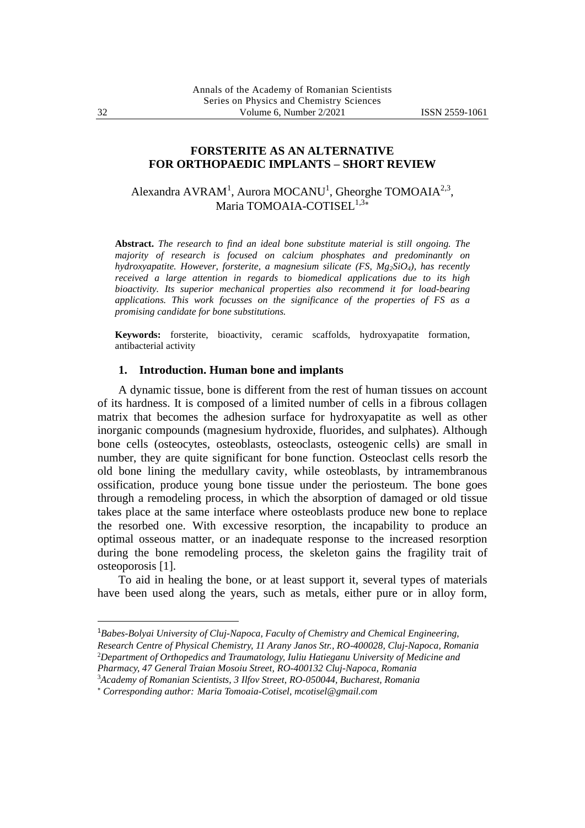## **FORSTERITE AS AN ALTERNATIVE FOR ORTHOPAEDIC IMPLANTS – SHORT REVIEW**

Alexandra AVRAM<sup>1</sup>, Aurora MOCANU<sup>1</sup>, Gheorghe TOMOAIA<sup>2,3</sup>, Maria TOMOAIA-COTISEL<sup>1,3\*</sup>

**Abstract.** *The research to find an ideal bone substitute material is still ongoing. The majority of research is focused on calcium phosphates and predominantly on hydroxyapatite. However, forsterite, a magnesium silicate (FS, Mg2SiO4), has recently received a large attention in regards to biomedical applications due to its high bioactivity. Its superior mechanical properties also recommend it for load-bearing applications. This work focusses on the significance of the properties of FS as a promising candidate for bone substitutions.*

**Keywords:** forsterite, bioactivity, ceramic scaffolds, hydroxyapatite formation, antibacterial activity

# **1. Introduction. Human bone and implants**

A dynamic tissue, bone is different from the rest of human tissues on account of its hardness. It is composed of a limited number of cells in a fibrous collagen matrix that becomes the adhesion surface for hydroxyapatite as well as other inorganic compounds (magnesium hydroxide, fluorides, and sulphates). Although bone cells (osteocytes, osteoblasts, osteoclasts, osteogenic cells) are small in number, they are quite significant for bone function. Osteoclast cells resorb the old bone lining the medullary cavity, while osteoblasts, by intramembranous ossification, produce young bone tissue under the periosteum. The bone goes through a remodeling process, in which the absorption of damaged or old tissue takes place at the same interface where osteoblasts produce new bone to replace the resorbed one. With excessive resorption, the incapability to produce an optimal osseous matter, or an inadequate response to the increased resorption during the bone remodeling process, the skeleton gains the fragility trait of osteoporosis [1].

To aid in healing the bone, or at least support it, several types of materials have been used along the years, such as metals, either pure or in alloy form,

<sup>1</sup>*Babes-Bolyai University of Cluj-Napoca, Faculty of Chemistry and Chemical Engineering,* 

*Research Centre of Physical Chemistry, 11 Arany Janos Str., RO-400028, Cluj-Napoca, Romania* <sup>2</sup>*Department of Orthopedics and Traumatology, Iuliu Hatieganu University of Medicine and* 

*Pharmacy, 47 General Traian Mosoiu Street, RO-400132 Cluj-Napoca, Romania*

<sup>3</sup>*Academy of Romanian Scientists, 3 Ilfov Street, RO-050044, Bucharest, Romania*

*Corresponding author: Maria Tomoaia-Cotisel, mcotisel@gmail.com*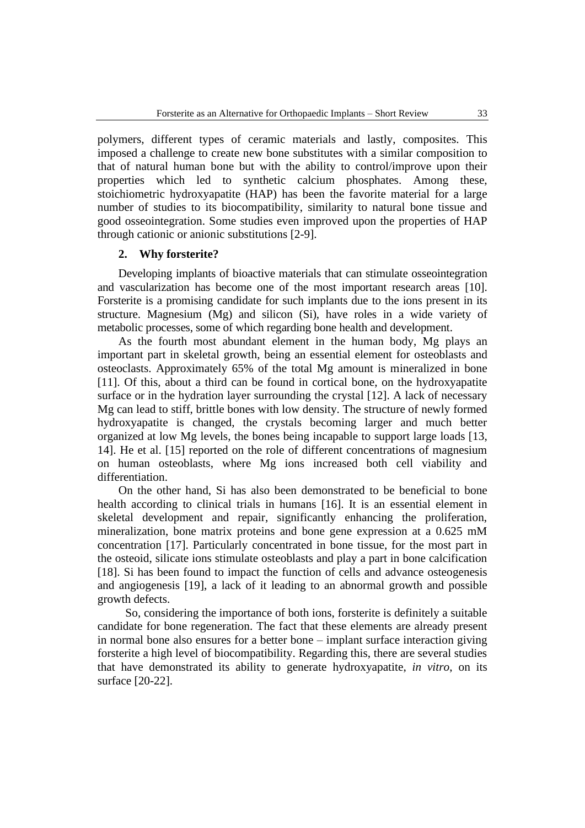polymers, different types of ceramic materials and lastly, composites. This imposed a challenge to create new bone substitutes with a similar composition to that of natural human bone but with the ability to control/improve upon their properties which led to synthetic calcium phosphates. Among these, stoichiometric hydroxyapatite (HAP) has been the favorite material for a large number of studies to its biocompatibility, similarity to natural bone tissue and good osseointegration. Some studies even improved upon the properties of HAP through cationic or anionic substitutions [2-9].

#### **2. Why forsterite?**

Developing implants of bioactive materials that can stimulate osseointegration and vascularization has become one of the most important research areas [10]. Forsterite is a promising candidate for such implants due to the ions present in its structure. Magnesium (Mg) and silicon (Si), have roles in a wide variety of metabolic processes, some of which regarding bone health and development.

As the fourth most abundant element in the human body, Mg plays an important part in skeletal growth, being an essential element for osteoblasts and osteoclasts. Approximately 65% of the total Mg amount is mineralized in bone [11]. Of this, about a third can be found in cortical bone, on the hydroxyapatite surface or in the hydration layer surrounding the crystal [12]. A lack of necessary Mg can lead to stiff, brittle bones with low density. The structure of newly formed hydroxyapatite is changed, the crystals becoming larger and much better organized at low Mg levels, the bones being incapable to support large loads [13, 14]. He et al. [15] reported on the role of different concentrations of magnesium on human osteoblasts, where Mg ions increased both cell viability and differentiation.

On the other hand, Si has also been demonstrated to be beneficial to bone health according to clinical trials in humans [16]. It is an essential element in skeletal development and repair, significantly enhancing the proliferation, mineralization, bone matrix proteins and bone gene expression at a 0.625 mM concentration [17]. Particularly concentrated in bone tissue, for the most part in the osteoid, silicate ions stimulate osteoblasts and play a part in bone calcification [18]. Si has been found to impact the function of cells and advance osteogenesis and angiogenesis [19], a lack of it leading to an abnormal growth and possible growth defects.

So, considering the importance of both ions, forsterite is definitely a suitable candidate for bone regeneration. The fact that these elements are already present in normal bone also ensures for a better bone – implant surface interaction giving forsterite a high level of biocompatibility. Regarding this, there are several studies that have demonstrated its ability to generate hydroxyapatite, *in vitro*, on its surface [20-22].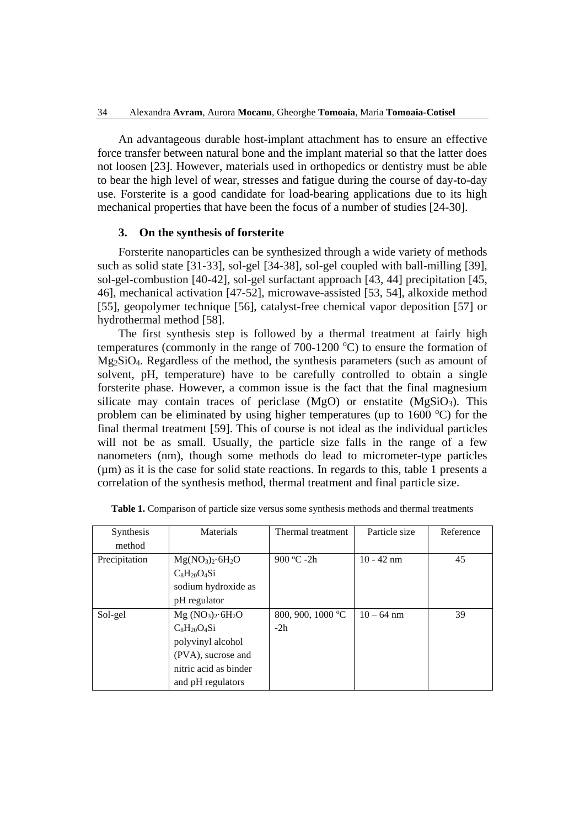An advantageous durable host-implant attachment has to ensure an effective force transfer between natural bone and the implant material so that the latter does not loosen [23]. However, materials used in orthopedics or dentistry must be able to bear the high level of wear, stresses and fatigue during the course of day-to-day use. Forsterite is a good candidate for load-bearing applications due to its high mechanical properties that have been the focus of a number of studies [24-30].

## **3. On the synthesis of forsterite**

Forsterite nanoparticles can be synthesized through a wide variety of methods such as solid state [31-33], sol-gel [34-38], sol-gel coupled with ball-milling [39], sol-gel-combustion [40-42], sol-gel surfactant approach [43, 44] precipitation [45, 46], mechanical activation [47-52], microwave-assisted [53, 54], alkoxide method [55], geopolymer technique [56], catalyst-free chemical vapor deposition [57] or hydrothermal method [58].

The first synthesis step is followed by a thermal treatment at fairly high temperatures (commonly in the range of  $700-1200$  °C) to ensure the formation of Mg2SiO4. Regardless of the method, the synthesis parameters (such as amount of solvent, pH, temperature) have to be carefully controlled to obtain a single forsterite phase. However, a common issue is the fact that the final magnesium silicate may contain traces of periclase  $(MgO)$  or enstatite  $(MgSiO<sub>3</sub>)$ . This problem can be eliminated by using higher temperatures (up to  $1600 \degree C$ ) for the final thermal treatment [59]. This of course is not ideal as the individual particles will not be as small. Usually, the particle size falls in the range of a few nanometers (nm), though some methods do lead to micrometer-type particles  $(\mu m)$  as it is the case for solid state reactions. In regards to this, table 1 presents a correlation of the synthesis method, thermal treatment and final particle size.

| Synthesis     | Materials             | Thermal treatment | Particle size | Reference |
|---------------|-----------------------|-------------------|---------------|-----------|
| method        |                       |                   |               |           |
| Precipitation | $Mg(NO3)2·6H2O$       | 900 °C -2h        | $10 - 42$ nm  | 45        |
|               | $C_8H_{20}O_4Si$      |                   |               |           |
|               | sodium hydroxide as   |                   |               |           |
|               | pH regulator          |                   |               |           |
| Sol-gel       | $Mg (NO3)2·6H2O$      | 800, 900, 1000 °C | $10 - 64$ nm  | 39        |
|               | $C_8H_{20}O_4Si$      | $-2h$             |               |           |
|               | polyvinyl alcohol     |                   |               |           |
|               | (PVA), sucrose and    |                   |               |           |
|               | nitric acid as binder |                   |               |           |
|               | and pH regulators     |                   |               |           |

**Table 1.** Comparison of particle size versus some synthesis methods and thermal treatments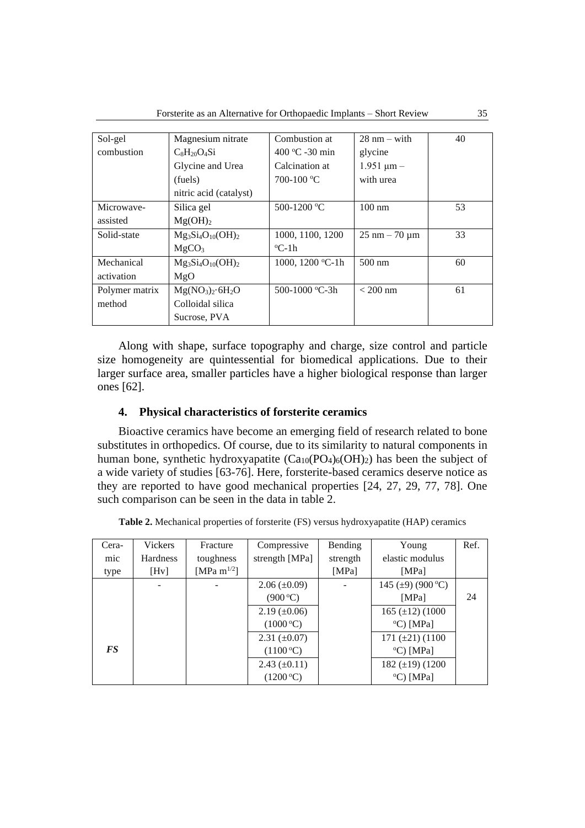| Sol-gel        | Magnesium nitrate      | Combustion at    | $28 \text{ nm} - \text{with}$   | 40 |
|----------------|------------------------|------------------|---------------------------------|----|
| combustion     | $C_8H_{20}O_4Si$       | 400 °C -30 min   | glycine                         |    |
|                | Glycine and Urea       | Calcination at   | $1.951 \mu m -$                 |    |
|                | (fuels)                | 700-100 °C       | with urea                       |    |
|                | nitric acid (catalyst) |                  |                                 |    |
| Microwaye-     | Silica gel             | 500-1200 °C      | $100 \text{ nm}$                | 53 |
| assisted       | Mg(OH) <sub>2</sub>    |                  |                                 |    |
| Solid-state    | $Mg_3Si_4O_{10}(OH)_2$ | 1000, 1100, 1200 | $25 \text{ nm} - 70 \text{ µm}$ | 33 |
|                | MgCO <sub>3</sub>      | $^{\circ}$ C-1h  |                                 |    |
| Mechanical     | $Mg_3Si_4O_{10}(OH)_2$ | 1000, 1200 °C-1h | $500 \text{ nm}$                | 60 |
| activation     | MgO                    |                  |                                 |    |
| Polymer matrix | $Mg(NO3)2·6H2O$        | 500-1000 °C-3h   | $< 200$ nm                      | 61 |
| method         | Colloidal silica       |                  |                                 |    |
|                | Sucrose, PVA           |                  |                                 |    |

Along with shape, surface topography and charge, size control and particle size homogeneity are quintessential for biomedical applications. Due to their larger surface area, smaller particles have a higher biological response than larger ones [62].

## **4. Physical characteristics of forsterite ceramics**

Bioactive ceramics have become an emerging field of research related to bone substitutes in orthopedics. Of course, due to its similarity to natural components in human bone, synthetic hydroxyapatite  $(Ca_{10}(PO_4)_6(OH)_2)$  has been the subject of a wide variety of studies [63-76]. Here, forsterite-based ceramics deserve notice as they are reported to have good mechanical properties [24, 27, 29, 77, 78]. One such comparison can be seen in the data in table 2.

| Table 2. Mechanical properties of forsterite (FS) versus hydroxyapatite (HAP) ceramics |  |  |
|----------------------------------------------------------------------------------------|--|--|
|----------------------------------------------------------------------------------------|--|--|

| Cera-     | Vickers         | Fracture          | Compressive                 | Bending  | Young                   | Ref. |
|-----------|-----------------|-------------------|-----------------------------|----------|-------------------------|------|
| mic       | <b>Hardness</b> | toughness         | strength [MPa]              | strength | elastic modulus         |      |
| type      | [Hv]            | [MPa m $^{1/2}$ ] |                             | [MPa]    | [MPa]                   |      |
|           |                 |                   | $2.06 \ (\pm 0.09)$         |          | 145 ( $\pm$ 9) (900 °C) |      |
|           |                 |                   | $(900\,^{\circ}\mathrm{C})$ |          | [MPa]                   | 24   |
|           |                 |                   | $2.19 \ (\pm 0.06)$         |          | 165 $(\pm 12)$ (1000)   |      |
|           |                 |                   | (1000 °C)                   |          | $\rm ^{o}C$ ) [MPa]     |      |
|           |                 |                   | $2.31 \ (\pm 0.07)$         |          | 171 $(\pm 21)$ (1100)   |      |
| <b>FS</b> |                 |                   | (1100 °C)                   |          | $\rm ^{o}C$ ) [MPa]     |      |
|           |                 |                   | $2.43 \ (\pm 0.11)$         |          | 182 $(\pm 19)$ (1200)   |      |
|           |                 |                   | (1200 °C)                   |          | $\rm ^{o}C$ ) [MPa]     |      |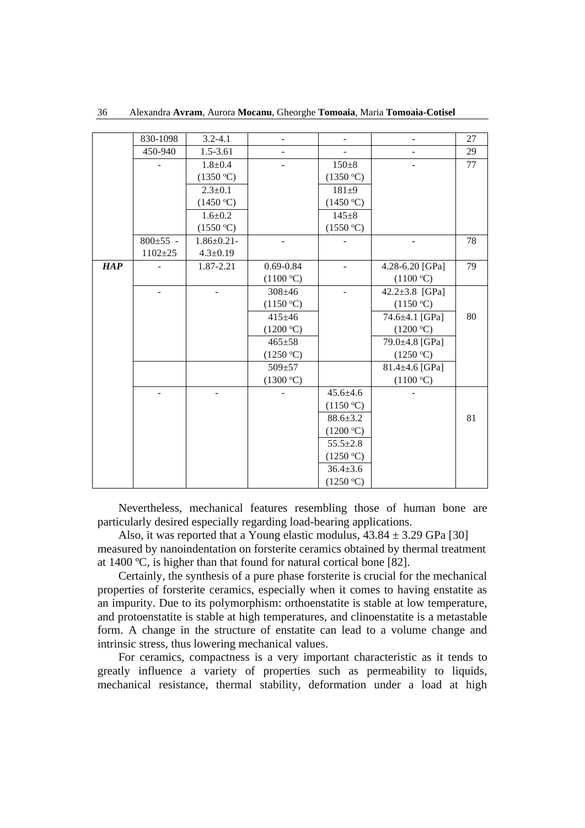|     | 830-1098                 | $3.2 - 4.1$       |               |                |                 | 27 |
|-----|--------------------------|-------------------|---------------|----------------|-----------------|----|
|     | 450-940                  | 1.5-3.61          |               |                |                 | 29 |
|     |                          | $1.8 + 0.4$       |               | $150 + 8$      |                 | 77 |
|     |                          | (1350 °C)         |               | (1350 °C)      |                 |    |
|     |                          | $2.3 \pm 0.1$     |               | $181 + 9$      |                 |    |
|     |                          | (1450 °C)         |               | (1450 °C)      |                 |    |
|     |                          | $1.6 \pm 0.2$     |               | $145 + 8$      |                 |    |
|     |                          | (1550 °C)         |               | (1550 °C)      |                 |    |
|     | $800 \pm 55$ -           | $1.86 \pm 0.21$ - |               |                |                 | 78 |
|     | $1102 + 25$              | $4.3 \pm 0.19$    |               |                |                 |    |
| HAP |                          | 1.87-2.21         | $0.69 - 0.84$ |                | 4.28-6.20 [GPa] | 79 |
|     |                          |                   | (1100 °C)     |                | (1100 °C)       |    |
|     | $\overline{\phantom{a}}$ |                   | $308 + 46$    |                | 42.2±3.8 [GPa]  |    |
|     |                          |                   | (1150 °C)     |                | (1150 °C)       |    |
|     |                          |                   | $415 \pm 46$  |                | 74.6±4.1 [GPa]  | 80 |
|     |                          |                   | (1200 °C)     |                | (1200 °C)       |    |
|     |                          |                   | $465 + 58$    |                | 79.0±4.8 [GPa]  |    |
|     |                          |                   | (1250 °C)     |                | (1250 °C)       |    |
|     |                          |                   | $509 + 57$    |                | 81.4±4.6 [GPa]  |    |
|     |                          |                   | (1300 °C)     |                | (1100 °C)       |    |
|     |                          |                   |               | $45.6 \pm 4.6$ |                 |    |
|     |                          |                   |               | (1150 °C)      |                 |    |
|     |                          |                   |               | $88.6 \pm 3.2$ |                 | 81 |
|     |                          |                   |               | (1200 °C)      |                 |    |
|     |                          |                   |               | $55.5 \pm 2.8$ |                 |    |
|     |                          |                   |               | (1250 °C)      |                 |    |
|     |                          |                   |               | $36.4 \pm 3.6$ |                 |    |
|     |                          |                   |               | (1250 °C)      |                 |    |

36 Alexandra **Avram**, Aurora **Mocanu**, Gheorghe **Tomoaia**, Maria **Tomoaia-Cotisel**

Nevertheless, mechanical features resembling those of human bone are particularly desired especially regarding load-bearing applications.

Also, it was reported that a Young elastic modulus,  $43.84 \pm 3.29$  GPa [30] measured by nanoindentation on forsterite ceramics obtained by thermal treatment at 1400 ºC, is higher than that found for natural cortical bone [82].

Certainly, the synthesis of a pure phase forsterite is crucial for the mechanical properties of forsterite ceramics, especially when it comes to having enstatite as an impurity. Due to its polymorphism: orthoenstatite is stable at low temperature, and protoenstatite is stable at high temperatures, and clinoenstatite is a metastable form. A change in the structure of enstatite can lead to a volume change and intrinsic stress, thus lowering mechanical values.

For ceramics, compactness is a very important characteristic as it tends to greatly influence a variety of properties such as permeability to liquids, mechanical resistance, thermal stability, deformation under a load at high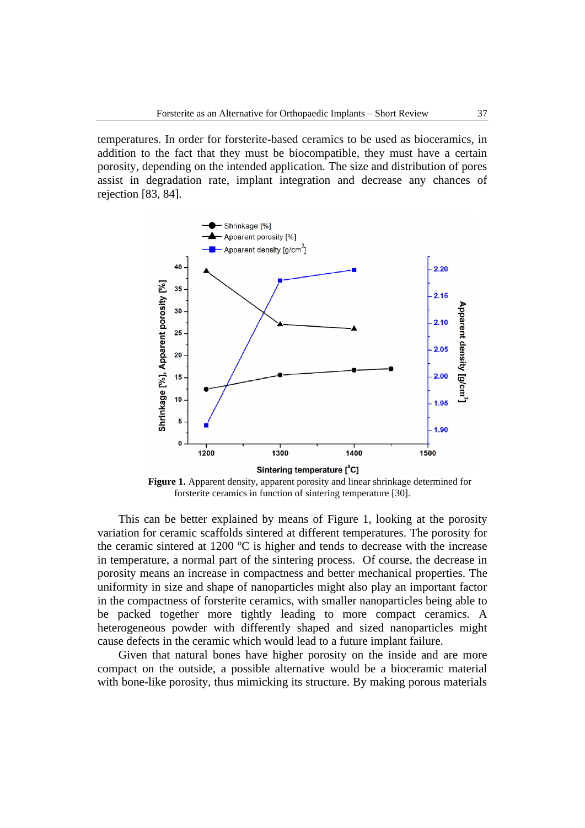temperatures. In order for forsterite-based ceramics to be used as bioceramics, in addition to the fact that they must be biocompatible, they must have a certain porosity, depending on the intended application. The size and distribution of pores assist in degradation rate, implant integration and decrease any chances of rejection [83, 84].



**Figure 1.** Apparent density, apparent porosity and linear shrinkage determined for forsterite ceramics in function of sintering temperature [30].

This can be better explained by means of Figure 1, looking at the porosity variation for ceramic scaffolds sintered at different temperatures. The porosity for the ceramic sintered at 1200  $\degree$ C is higher and tends to decrease with the increase in temperature, a normal part of the sintering process. Of course, the decrease in porosity means an increase in compactness and better mechanical properties. The uniformity in size and shape of nanoparticles might also play an important factor in the compactness of forsterite ceramics, with smaller nanoparticles being able to be packed together more tightly leading to more compact ceramics. A heterogeneous powder with differently shaped and sized nanoparticles might cause defects in the ceramic which would lead to a future implant failure.

Given that natural bones have higher porosity on the inside and are more compact on the outside, a possible alternative would be a bioceramic material with bone-like porosity, thus mimicking its structure. By making porous materials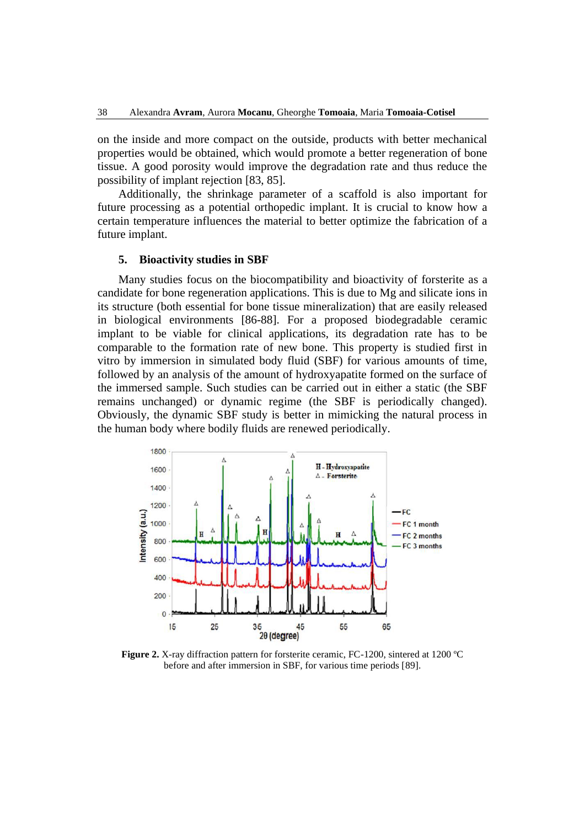on the inside and more compact on the outside, products with better mechanical properties would be obtained, which would promote a better regeneration of bone tissue. A good porosity would improve the degradation rate and thus reduce the possibility of implant rejection [83, 85].

Additionally, the shrinkage parameter of a scaffold is also important for future processing as a potential orthopedic implant. It is crucial to know how a certain temperature influences the material to better optimize the fabrication of a future implant.

## **5. Bioactivity studies in SBF**

Many studies focus on the biocompatibility and bioactivity of forsterite as a candidate for bone regeneration applications. This is due to Mg and silicate ions in its structure (both essential for bone tissue mineralization) that are easily released in biological environments [86-88]. For a proposed biodegradable ceramic implant to be viable for clinical applications, its degradation rate has to be comparable to the formation rate of new bone. This property is studied first in vitro by immersion in simulated body fluid (SBF) for various amounts of time, followed by an analysis of the amount of hydroxyapatite formed on the surface of the immersed sample. Such studies can be carried out in either a static (the SBF remains unchanged) or dynamic regime (the SBF is periodically changed). Obviously, the dynamic SBF study is better in mimicking the natural process in the human body where bodily fluids are renewed periodically.



**Figure 2.** X-ray diffraction pattern for forsterite ceramic, FC-1200, sintered at 1200 ºC before and after immersion in SBF, for various time periods [89].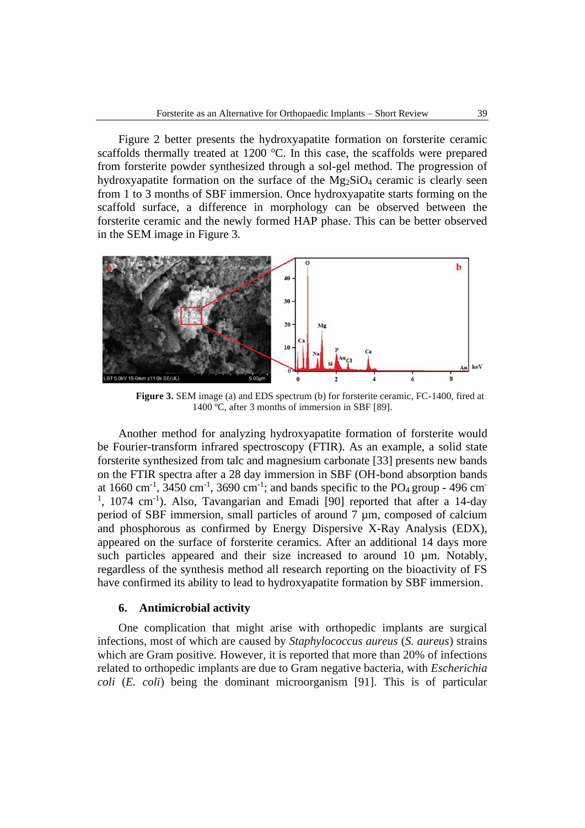Figure 2 better presents the hydroxyapatite formation on forsterite ceramic scaffolds thermally treated at  $1200$  °C. In this case, the scaffolds were prepared from forsterite powder synthesized through a sol-gel method. The progression of hydroxyapatite formation on the surface of the  $Mg_2SiO_4$  ceramic is clearly seen from 1 to 3 months of SBF immersion. Once hydroxyapatite starts forming on the scaffold surface, a difference in morphology can be observed between the forsterite ceramic and the newly formed HAP phase. This can be better observed in the SEM image in Figure 3.



**Figure 3.** SEM image (a) and EDS spectrum (b) for forsterite ceramic, FC-1400, fired at 1400 ºC, after 3 months of immersion in SBF [89].

Another method for analyzing hydroxyapatite formation of forsterite would be Fourier-transform infrared spectroscopy (FTIR). As an example, a solid state forsterite synthesized from talc and magnesium carbonate [33] presents new bands on the FTIR spectra after a 28 day immersion in SBF (OH-bond absorption bands at 1660 cm<sup>-1</sup>, 3450 cm<sup>-1</sup>, 3690 cm<sup>-1</sup>; and bands specific to the PO<sub>4</sub> group - 496 cm<sup>-1</sup>  $1$ , 1074 cm<sup>-1</sup>). Also, Tavangarian and Emadi [90] reported that after a 14-day period of SBF immersion, small particles of around 7 µm, composed of calcium and phosphorous as confirmed by Energy Dispersive X-Ray Analysis (EDX), appeared on the surface of forsterite ceramics. After an additional 14 days more such particles appeared and their size increased to around 10  $\mu$ m. Notably, regardless of the synthesis method all research reporting on the bioactivity of FS have confirmed its ability to lead to hydroxyapatite formation by SBF immersion.

# **6. Antimicrobial activity**

One complication that might arise with orthopedic implants are surgical infections, most of which are caused by *Staphylococcus aureus* (*S. aureus*) strains which are Gram positive. However, it is reported that more than 20% of infections related to orthopedic implants are due to Gram negative bacteria, with *Escherichia coli* (*E. coli*) being the dominant microorganism [91]. This is of particular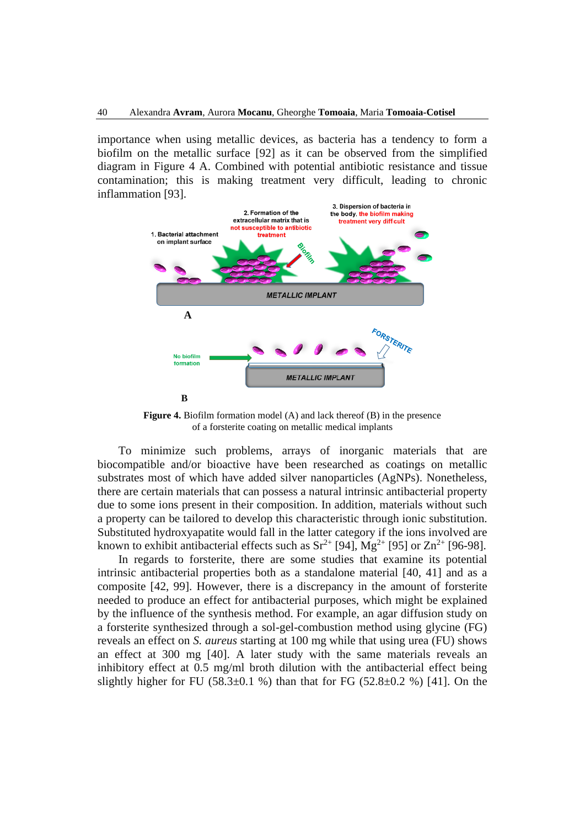importance when using metallic devices, as bacteria has a tendency to form a biofilm on the metallic surface [92] as it can be observed from the simplified diagram in Figure 4 A. Combined with potential antibiotic resistance and tissue contamination; this is making treatment very difficult, leading to chronic inflammation [93].



**Figure 4.** Biofilm formation model (A) and lack thereof (B) in the presence of a forsterite coating on metallic medical implants

To minimize such problems, arrays of inorganic materials that are biocompatible and/or bioactive have been researched as coatings on metallic substrates most of which have added silver nanoparticles (AgNPs). Nonetheless, there are certain materials that can possess a natural intrinsic antibacterial property due to some ions present in their composition. In addition, materials without such a property can be tailored to develop this characteristic through ionic substitution. Substituted hydroxyapatite would fall in the latter category if the ions involved are known to exhibit antibacterial effects such as  $Sr^{2+}$  [94],  $Mg^{2+}$  [95] or  $Zn^{2+}$  [96-98].

In regards to forsterite, there are some studies that examine its potential intrinsic antibacterial properties both as a standalone material [40, 41] and as a composite [42, 99]. However, there is a discrepancy in the amount of forsterite needed to produce an effect for antibacterial purposes, which might be explained by the influence of the synthesis method. For example, an agar diffusion study on a forsterite synthesized through a sol-gel-combustion method using glycine (FG) reveals an effect on *S. aureus* starting at 100 mg while that using urea (FU) shows an effect at 300 mg [40]. A later study with the same materials reveals an inhibitory effect at 0.5 mg/ml broth dilution with the antibacterial effect being slightly higher for FU (58.3 $\pm$ 0.1 %) than that for FG (52.8 $\pm$ 0.2 %) [41]. On the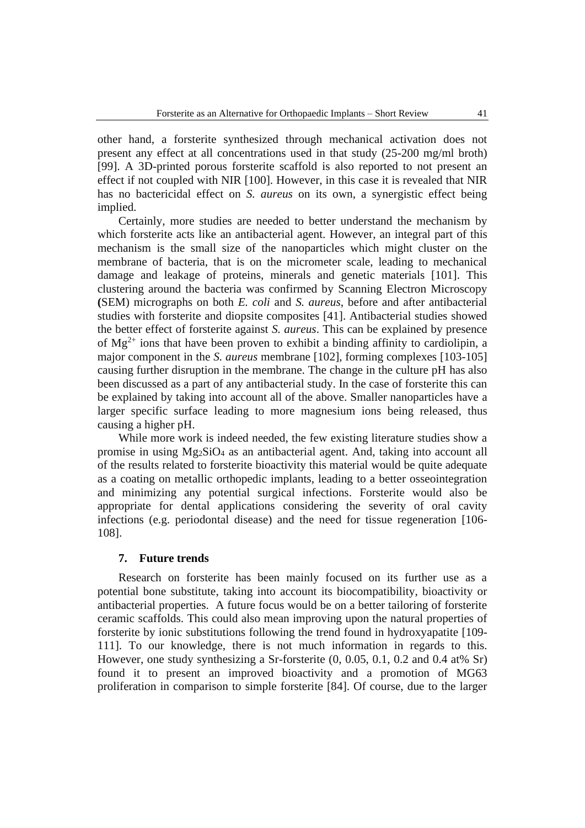other hand, a forsterite synthesized through mechanical activation does not present any effect at all concentrations used in that study (25-200 mg/ml broth) [99]. A 3D-printed porous forsterite scaffold is also reported to not present an effect if not coupled with NIR [100]. However, in this case it is revealed that NIR has no bactericidal effect on *S. aureus* on its own, a synergistic effect being implied.

Certainly, more studies are needed to better understand the mechanism by which forsterite acts like an antibacterial agent. However, an integral part of this mechanism is the small size of the nanoparticles which might cluster on the membrane of bacteria, that is on the micrometer scale, leading to mechanical damage and leakage of proteins, minerals and genetic materials [101]. This clustering around the bacteria was confirmed by Scanning Electron Microscopy **(**SEM) micrographs on both *E. coli* and *S. aureus*, before and after antibacterial studies with forsterite and diopsite composites [41]. Antibacterial studies showed the better effect of forsterite against *S. aureus*. This can be explained by presence of  $Mg^{2+}$  ions that have been proven to exhibit a binding affinity to cardiolipin, a major component in the *S. aureus* membrane [102], forming complexes [103-105] causing further disruption in the membrane. The change in the culture pH has also been discussed as a part of any antibacterial study. In the case of forsterite this can be explained by taking into account all of the above. Smaller nanoparticles have a larger specific surface leading to more magnesium ions being released, thus causing a higher pH.

While more work is indeed needed, the few existing literature studies show a promise in using Mg2SiO<sup>4</sup> as an antibacterial agent. And, taking into account all of the results related to forsterite bioactivity this material would be quite adequate as a coating on metallic orthopedic implants, leading to a better osseointegration and minimizing any potential surgical infections. Forsterite would also be appropriate for dental applications considering the severity of oral cavity infections (e.g. periodontal disease) and the need for tissue regeneration [106- 108].

## **7. Future trends**

Research on forsterite has been mainly focused on its further use as a potential bone substitute, taking into account its biocompatibility, bioactivity or antibacterial properties. A future focus would be on a better tailoring of forsterite ceramic scaffolds. This could also mean improving upon the natural properties of forsterite by ionic substitutions following the trend found in hydroxyapatite [109- 111]. To our knowledge, there is not much information in regards to this. However, one study synthesizing a Sr-forsterite (0, 0.05, 0.1, 0.2 and 0.4 at% Sr) found it to present an improved bioactivity and a promotion of MG63 proliferation in comparison to simple forsterite [84]. Of course, due to the larger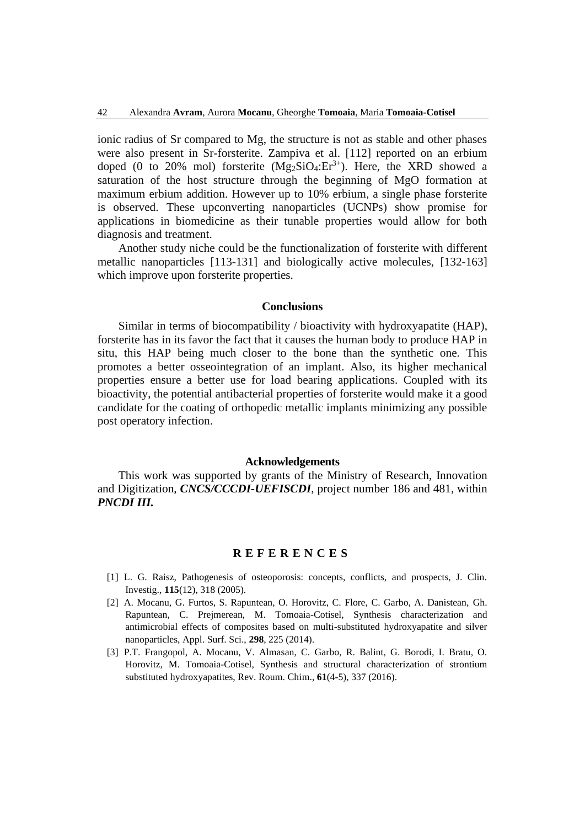ionic radius of Sr compared to Mg, the structure is not as stable and other phases were also present in Sr-forsterite. Zampiva et al. [112] reported on an erbium doped (0 to 20% mol) forsterite  $(Mg_2SiO_4:Er^{3+})$ . Here, the XRD showed a saturation of the host structure through the beginning of MgO formation at maximum erbium addition. However up to 10% erbium, a single phase forsterite is observed. These upconverting nanoparticles (UCNPs) show promise for applications in biomedicine as their tunable properties would allow for both diagnosis and treatment.

Another study niche could be the functionalization of forsterite with different metallic nanoparticles [113-131] and biologically active molecules, [132-163] which improve upon forsterite properties.

#### **Conclusions**

Similar in terms of biocompatibility / bioactivity with hydroxyapatite (HAP), forsterite has in its favor the fact that it causes the human body to produce HAP in situ, this HAP being much closer to the bone than the synthetic one. This promotes a better osseointegration of an implant. Also, its higher mechanical properties ensure a better use for load bearing applications. Coupled with its bioactivity, the potential antibacterial properties of forsterite would make it a good candidate for the coating of orthopedic metallic implants minimizing any possible post operatory infection.

#### **Acknowledgements**

This work was supported by grants of the Ministry of Research, Innovation and Digitization, *CNCS/CCCDI-UEFISCDI*, project number 186 and 481, within *PNCDI III.*

## **R E F E R E N C E S**

- [1] L. G. Raisz, Pathogenesis of osteoporosis: concepts, conflicts, and prospects, J. Clin. Investig., **115**(12), 318 (2005).
- [2] A. Mocanu, G. Furtos, S. Rapuntean, O. Horovitz, C. Flore, C. Garbo, A. Danistean, Gh. Rapuntean, C. Prejmerean, M. Tomoaia-Cotisel, Synthesis characterization and antimicrobial effects of composites based on multi-substituted hydroxyapatite and silver nanoparticles, Appl. Surf. Sci., **298**, 225 (2014).
- [3] P.T. Frangopol, A. Mocanu, V. Almasan, C. Garbo, R. Balint, G. Borodi, I. Bratu, O. Horovitz, M. Tomoaia-Cotisel, Synthesis and structural characterization of strontium substituted hydroxyapatites, Rev. Roum. Chim., **61**(4-5), 337 (2016).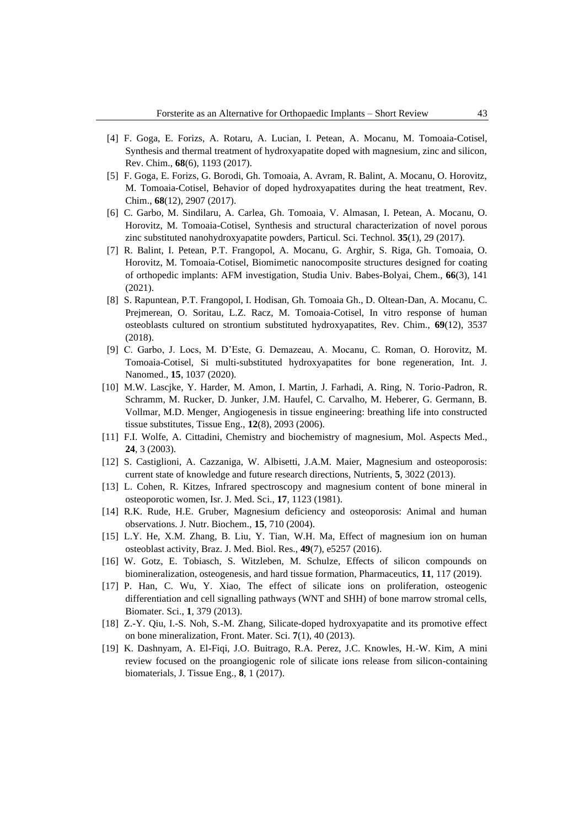- [4] F. Goga, E. Forizs, A. Rotaru, A. Lucian, I. Petean, A. Mocanu, M. Tomoaia-Cotisel, Synthesis and thermal treatment of hydroxyapatite doped with magnesium, zinc and silicon, Rev. Chim., **68**(6), 1193 (2017).
- [5] F. Goga, E. Forizs, G. Borodi, Gh. Tomoaia, A. Avram, R. Balint, A. Mocanu, O. Horovitz, M. Tomoaia-Cotisel, Behavior of doped hydroxyapatites during the heat treatment, Rev. Chim., **68**(12), 2907 (2017).
- [6] C. Garbo, M. Sindilaru, A. Carlea, Gh. Tomoaia, V. Almasan, I. Petean, A. Mocanu, O. Horovitz, M. Tomoaia-Cotisel, Synthesis and structural characterization of novel porous zinc substituted nanohydroxyapatite powders, Particul. Sci. Technol. **35**(1), 29 (2017).
- [7] R. Balint, I. Petean, P.T. Frangopol, A. Mocanu, G. Arghir, S. Riga, Gh. Tomoaia, O. Horovitz, M. Tomoaia-Cotisel, Biomimetic nanocomposite structures designed for coating of orthopedic implants: AFM investigation, Studia Univ. Babes-Bolyai, Chem., **66**(3), 141 (2021).
- [8] S. Rapuntean, P.T. Frangopol, I. Hodisan, Gh. Tomoaia Gh., D. Oltean-Dan, A. Mocanu, C. Prejmerean, O. Soritau, L.Z. Racz, M. Tomoaia-Cotisel, In vitro response of human osteoblasts cultured on strontium substituted hydroxyapatites, Rev. Chim., **69**(12), 3537 (2018).
- [9] C. Garbo, J. Locs, M. D'Este, G. Demazeau, A. Mocanu, C. Roman, O. Horovitz, M. Tomoaia-Cotisel, Si multi-substituted hydroxyapatites for bone regeneration, Int. J. Nanomed., **15**, 1037 (2020).
- [10] M.W. Lascjke, Y. Harder, M. Amon, I. Martin, J. Farhadi, A. Ring, N. Torio-Padron, R. Schramm, M. Rucker, D. Junker, J.M. Haufel, C. Carvalho, M. Heberer, G. Germann, B. Vollmar, M.D. Menger, Angiogenesis in tissue engineering: breathing life into constructed tissue substitutes, Tissue Eng., **12**(8), 2093 (2006).
- [11] F.I. Wolfe, A. Cittadini, Chemistry and biochemistry of magnesium, Mol. Aspects Med., **24**, 3 (2003).
- [12] S. Castiglioni, A. Cazzaniga, W. Albisetti, J.A.M. Maier, Magnesium and osteoporosis: current state of knowledge and future research directions, Nutrients, **5**, 3022 (2013).
- [13] L. Cohen, R. Kitzes, Infrared spectroscopy and magnesium content of bone mineral in osteoporotic women, Isr. J. Med. Sci., **17**, 1123 (1981).
- [14] R.K. Rude, H.E. Gruber, Magnesium deficiency and osteoporosis: Animal and human observations. J. Nutr. Biochem., **15**, 710 (2004).
- [15] L.Y. He, X.M. Zhang, B. Liu, Y. Tian, W.H. Ma, Effect of magnesium ion on human osteoblast activity, Braz. J. Med. Biol. Res., **49**(7), e5257 (2016).
- [16] W. Gotz, E. Tobiasch, S. Witzleben, M. Schulze, Effects of silicon compounds on biomineralization, osteogenesis, and hard tissue formation, Pharmaceutics, **11**, 117 (2019).
- [17] P. Han, C. Wu, Y. Xiao, The effect of silicate ions on proliferation, osteogenic differentiation and cell signalling pathways (WNT and SHH) of bone marrow stromal cells, Biomater. Sci., **1**, 379 (2013).
- [18] Z.-Y. Qiu, I.-S. Noh, S.-M. Zhang, Silicate-doped hydroxyapatite and its promotive effect on bone mineralization, Front. Mater. Sci. **7**(1), 40 (2013).
- [19] K. Dashnyam, A. El-Fiqi, J.O. Buitrago, R.A. Perez, J.C. Knowles, H.-W. Kim, A mini review focused on the proangiogenic role of silicate ions release from silicon-containing biomaterials, J. Tissue Eng., **8**, 1 (2017).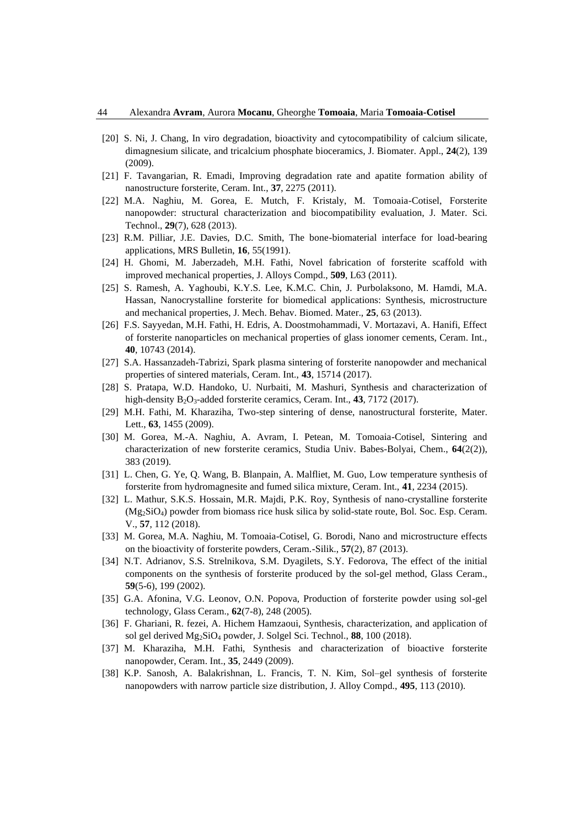- [20] S. Ni, J. Chang, In viro degradation, bioactivity and cytocompatibility of calcium silicate, dimagnesium silicate, and tricalcium phosphate bioceramics, J. Biomater. Appl., **24**(2), 139 (2009).
- [21] F. Tavangarian, R. Emadi, Improving degradation rate and apatite formation ability of nanostructure forsterite, Ceram. Int., **37**, 2275 (2011).
- [22] M.A. Naghiu, M. Gorea, E. Mutch, F. Kristaly, M. Tomoaia-Cotisel, Forsterite nanopowder: structural characterization and biocompatibility evaluation, J. Mater. Sci. Technol., **29**(7), 628 (2013).
- [23] R.M. Pilliar, J.E. Davies, D.C. Smith, The bone-biomaterial interface for load-bearing applications, MRS Bulletin, **16**, 55(1991).
- [24] H. Ghomi, M. Jaberzadeh, M.H. Fathi, Novel fabrication of forsterite scaffold with improved mechanical properties, J. Alloys Compd., **509**, L63 (2011).
- [25] S. Ramesh, A. Yaghoubi, K.Y.S. Lee, K.M.C. Chin, J. Purbolaksono, M. Hamdi, M.A. Hassan, Nanocrystalline forsterite for biomedical applications: Synthesis, microstructure and mechanical properties, J. Mech. Behav. Biomed. Mater., **25**, 63 (2013).
- [26] F.S. Sayyedan, M.H. Fathi, H. Edris, A. Doostmohammadi, V. Mortazavi, A. Hanifi, Effect of forsterite nanoparticles on mechanical properties of glass ionomer cements, Ceram. Int., **40**, 10743 (2014).
- [27] S.A. Hassanzadeh-Tabrizi, Spark plasma sintering of forsterite nanopowder and mechanical properties of sintered materials, Ceram. Int., **43**, 15714 (2017).
- [28] S. Pratapa, W.D. Handoko, U. Nurbaiti, M. Mashuri, Synthesis and characterization of high-density B<sub>2</sub>O<sub>3</sub>-added forsterite ceramics, Ceram. Int., 43, 7172 (2017).
- [29] M.H. Fathi, M. Kharaziha, Two-step sintering of dense, nanostructural forsterite, Mater. Lett., **63**, 1455 (2009).
- [30] M. Gorea, M.-A. Naghiu, A. Avram, I. Petean, M. Tomoaia-Cotisel, Sintering and characterization of new forsterite ceramics, Studia Univ. Babes-Bolyai, Chem., **64**(2(2)), 383 (2019).
- [31] L. Chen, G. Ye, Q. Wang, B. Blanpain, A. Malfliet, M. Guo, Low temperature synthesis of forsterite from hydromagnesite and fumed silica mixture, Ceram. Int., **41**, 2234 (2015).
- [32] L. Mathur, S.K.S. Hossain, M.R. Majdi, P.K. Roy, Synthesis of nano-crystalline forsterite (Mg2SiO4) powder from biomass rice husk silica by solid-state route, Bol. Soc. Esp. Ceram. V., **57**, 112 (2018).
- [33] M. Gorea, M.A. Naghiu, M. Tomoaia-Cotisel, G. Borodi, Nano and microstructure effects on the bioactivity of forsterite powders, Ceram.-Silik., **57**(2), 87 (2013).
- [34] N.T. Adrianov, S.S. Strelnikova, S.M. Dyagilets, S.Y. Fedorova, The effect of the initial components on the synthesis of forsterite produced by the sol-gel method, Glass Ceram., **59**(5-6), 199 (2002).
- [35] G.A. Afonina, V.G. Leonov, O.N. Popova, Production of forsterite powder using sol-gel technology, Glass Ceram., **62**(7-8), 248 (2005).
- [36] F. Ghariani, R. fezei, A. Hichem Hamzaoui, Synthesis, characterization, and application of sol gel derived Mg2SiO<sup>4</sup> powder, J. Solgel Sci. Technol., **88**, 100 (2018).
- [37] M. Kharaziha, M.H. Fathi, Synthesis and characterization of bioactive forsterite nanopowder, Ceram. Int., **35**, 2449 (2009).
- [38] K.P. Sanosh, A. Balakrishnan, L. Francis, T. N. Kim, Sol–gel synthesis of forsterite nanopowders with narrow particle size distribution, J. Alloy Compd., **495**, 113 (2010).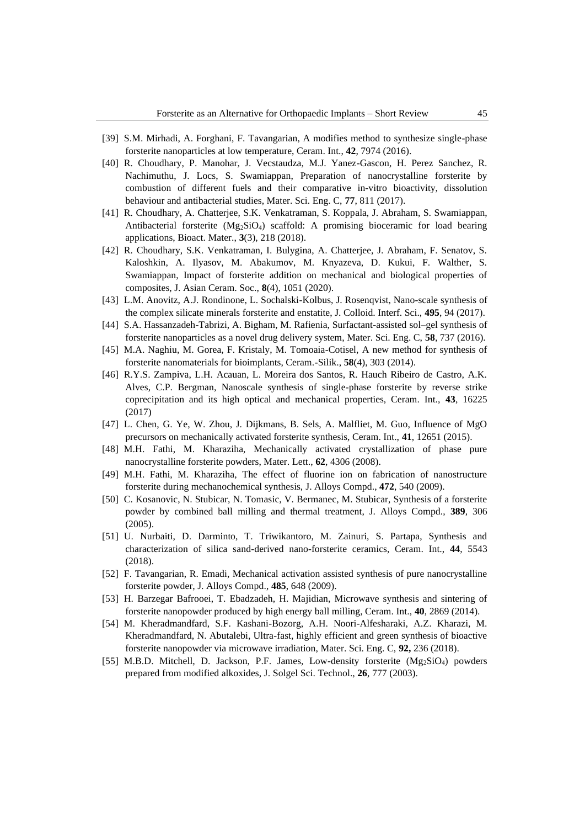- [39] S.M. Mirhadi, A. Forghani, F. Tavangarian, A modifies method to synthesize single-phase forsterite nanoparticles at low temperature, Ceram. Int., **42**, 7974 (2016).
- [40] R. Choudhary, P. Manohar, J. Vecstaudza, M.J. Yanez-Gascon, H. Perez Sanchez, R. Nachimuthu, J. Locs, S. Swamiappan, Preparation of nanocrystalline forsterite by combustion of different fuels and their comparative in-vitro bioactivity, dissolution behaviour and antibacterial studies, Mater. Sci. Eng. C, **77**, 811 (2017).
- [41] R. Choudhary, A. Chatterjee, S.K. Venkatraman, S. Koppala, J. Abraham, S. Swamiappan, Antibacterial forsterite (Mg2SiO4) scaffold: A promising bioceramic for load bearing applications, Bioact. Mater., **3**(3), 218 (2018).
- [42] R. Choudhary, S.K. Venkatraman, I. Bulygina, A. Chatterjee, J. Abraham, F. Senatov, S. Kaloshkin, A. Ilyasov, M. Abakumov, M. Knyazeva, D. Kukui, F. Walther, S. Swamiappan, Impact of forsterite addition on mechanical and biological properties of composites, J. Asian Ceram. Soc., **8**(4), 1051 (2020).
- [43] L.M. Anovitz, A.J. Rondinone, L. Sochalski-Kolbus, J. Rosenqvist, Nano-scale synthesis of the complex silicate minerals forsterite and enstatite, J. Colloid. Interf. Sci., **495**, 94 (2017).
- [44] S.A. Hassanzadeh-Tabrizi, A. Bigham, M. Rafienia, Surfactant-assisted sol–gel synthesis of forsterite nanoparticles as a novel drug delivery system, Mater. Sci. Eng. C, **58**, 737 (2016).
- [45] M.A. Naghiu, M. Gorea, F. Kristaly, M. Tomoaia-Cotisel, A new method for synthesis of forsterite nanomaterials for bioimplants, Ceram.-Silik., **58**(4), 303 (2014).
- [46] R.Y.S. Zampiva, L.H. Acauan, L. Moreira dos Santos, R. Hauch Ribeiro de Castro, A.K. Alves, C.P. Bergman, Nanoscale synthesis of single-phase forsterite by reverse strike coprecipitation and its high optical and mechanical properties, Ceram. Int., **43**, 16225 (2017)
- [47] L. Chen, G. Ye, W. Zhou, J. Dijkmans, B. Sels, A. Malfliet, M. Guo, Influence of MgO precursors on mechanically activated forsterite synthesis, Ceram. Int., **41**, 12651 (2015).
- [48] M.H. Fathi, M. Kharaziha, Mechanically activated crystallization of phase pure nanocrystalline forsterite powders, Mater. Lett., **62**, 4306 (2008).
- [49] M.H. Fathi, M. Kharaziha, The effect of fluorine ion on fabrication of nanostructure forsterite during mechanochemical synthesis, J. Alloys Compd., **472**, 540 (2009).
- [50] C. Kosanovic, N. Stubicar, N. Tomasic, V. Bermanec, M. Stubicar, Synthesis of a forsterite powder by combined ball milling and thermal treatment, J. Alloys Compd., **389**, 306 (2005).
- [51] U. Nurbaiti, D. Darminto, T. Triwikantoro, M. Zainuri, S. Partapa, Synthesis and characterization of silica sand-derived nano-forsterite ceramics, Ceram. Int., **44**, 5543 (2018).
- [52] F. Tavangarian, R. Emadi, Mechanical activation assisted synthesis of pure nanocrystalline forsterite powder, J. Alloys Compd., **485**, 648 (2009).
- [53] H. Barzegar Bafrooei, T. Ebadzadeh, H. Majidian, Microwave synthesis and sintering of forsterite nanopowder produced by high energy ball milling, Ceram. Int., **40**, 2869 (2014).
- [54] M. Kheradmandfard, S.F. Kashani-Bozorg, A.H. Noori-Alfesharaki, A.Z. Kharazi, M. Kheradmandfard, N. Abutalebi, Ultra-fast, highly efficient and green synthesis of bioactive forsterite nanopowder via microwave irradiation, Mater. Sci. Eng. C, **92,** 236 (2018).
- [55] M.B.D. Mitchell, D. Jackson, P.F. James, Low-density forsterite (Mg2SiO4) powders prepared from modified alkoxides, J. Solgel Sci. Technol., **26**, 777 (2003).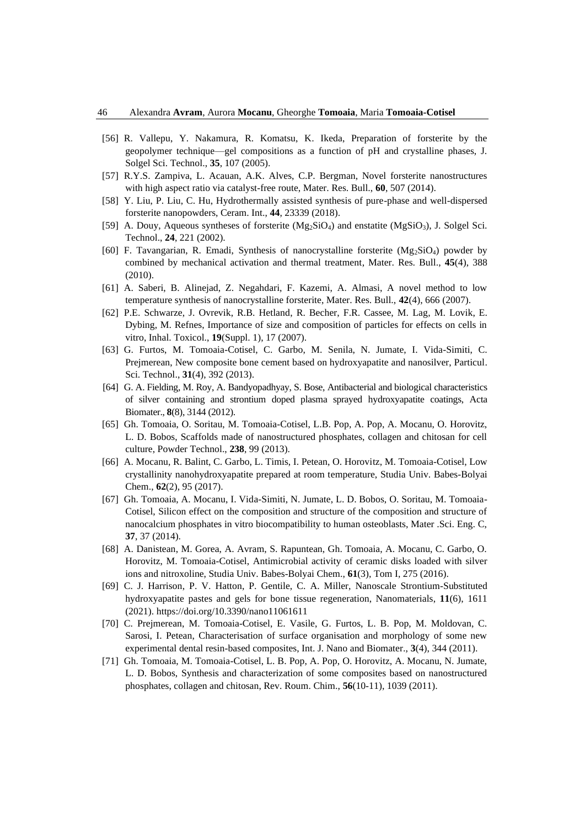- [56] R. Vallepu, Y. Nakamura, R. Komatsu, K. Ikeda, Preparation of forsterite by the geopolymer technique—gel compositions as a function of pH and crystalline phases, J. Solgel Sci. Technol., **35**, 107 (2005).
- [57] R.Y.S. Zampiva, L. Acauan, A.K. Alves, C.P. Bergman, Novel forsterite nanostructures with high aspect ratio via catalyst-free route, Mater. Res. Bull., **60**, 507 (2014).
- [58] Y. Liu, P. Liu, C. Hu, Hydrothermally assisted synthesis of pure-phase and well-dispersed forsterite nanopowders, Ceram. Int., **44**, 23339 (2018).
- [59] A. Douy, Aqueous syntheses of forsterite (Mg<sub>2</sub>SiO<sub>4</sub>) and enstatite (MgSiO<sub>3</sub>), J. Solgel Sci. Technol., **24**, 221 (2002).
- [60] F. Tavangarian, R. Emadi, Synthesis of nanocrystalline forsterite  $(Mg_2SiO<sub>4</sub>)$  powder by combined by mechanical activation and thermal treatment, Mater. Res. Bull., **45**(4), 388 (2010).
- [61] A. Saberi, B. Alinejad, Z. Negahdari, F. Kazemi, A. Almasi, A novel method to low temperature synthesis of nanocrystalline forsterite, Mater. Res. Bull., **42**(4), 666 (2007).
- [62] P.E. Schwarze, J. Ovrevik, R.B. Hetland, R. Becher, F.R. Cassee, M. Lag, M. Lovik, E. Dybing, M. Refnes, Importance of size and composition of particles for effects on cells in vitro, Inhal. Toxicol., **19**(Suppl. 1), 17 (2007).
- [63] G. Furtos, M. Tomoaia-Cotisel, C. Garbo, M. Senila, N. Jumate, I. Vida-Simiti, C. Prejmerean, New composite bone cement based on hydroxyapatite and nanosilver, Particul. Sci. Technol., **31**(4), 392 (2013).
- [64] G. A. Fielding, M. Roy, A. Bandyopadhyay, S. Bose, Antibacterial and biological characteristics of silver containing and strontium doped plasma sprayed hydroxyapatite coatings, Acta Biomater., **8**(8), 3144 (2012).
- [65] Gh. Tomoaia, O. Soritau, M. Tomoaia-Cotisel, L.B. Pop, A. Pop, A. Mocanu, O. Horovitz, L. D. Bobos, Scaffolds made of nanostructured phosphates, collagen and chitosan for cell culture, Powder Technol., **238**, 99 (2013).
- [66] A. Mocanu, R. Balint, C. Garbo, L. Timis, I. Petean, O. Horovitz, M. Tomoaia-Cotisel, Low crystallinity nanohydroxyapatite prepared at room temperature, Studia Univ. Babes-Bolyai Chem., **62**(2), 95 (2017).
- [67] Gh. Tomoaia, A. Mocanu, I. Vida-Simiti, N. Jumate, L. D. Bobos, O. Soritau, M. Tomoaia-Cotisel, Silicon effect on the composition and structure of the composition and structure of nanocalcium phosphates in vitro biocompatibility to human osteoblasts, Mater .Sci. Eng. C, **37**, 37 (2014).
- [68] A. Danistean, M. Gorea, A. Avram, S. Rapuntean, Gh. Tomoaia, A. Mocanu, C. Garbo, O. Horovitz, M. Tomoaia-Cotisel, Antimicrobial activity of ceramic disks loaded with silver ions and nitroxoline, Studia Univ. Babes-Bolyai Chem., **61**(3), Tom I, 275 (2016).
- [69] C. J. Harrison, P. V. Hatton, P. Gentile, C. A. Miller, Nanoscale Strontium-Substituted hydroxyapatite pastes and gels for bone tissue regeneration, Nanomaterials, **11**(6), 1611 (2021). https://doi.org/10.3390/nano11061611
- [70] C. Prejmerean, M. Tomoaia-Cotisel, E. Vasile, G. Furtos, L. B. Pop, M. Moldovan, C. Sarosi, I. Petean, Characterisation of surface organisation and morphology of some new experimental dental resin-based composites, Int. J. Nano and Biomater., **3**(4), 344 (2011).
- [71] Gh. Tomoaia, M. Tomoaia-Cotisel, L. B. Pop, A. Pop, O. Horovitz, A. Mocanu, N. Jumate, L. D. Bobos, Synthesis and characterization of some composites based on nanostructured phosphates, collagen and chitosan, Rev. Roum. Chim., **56**(10-11), 1039 (2011).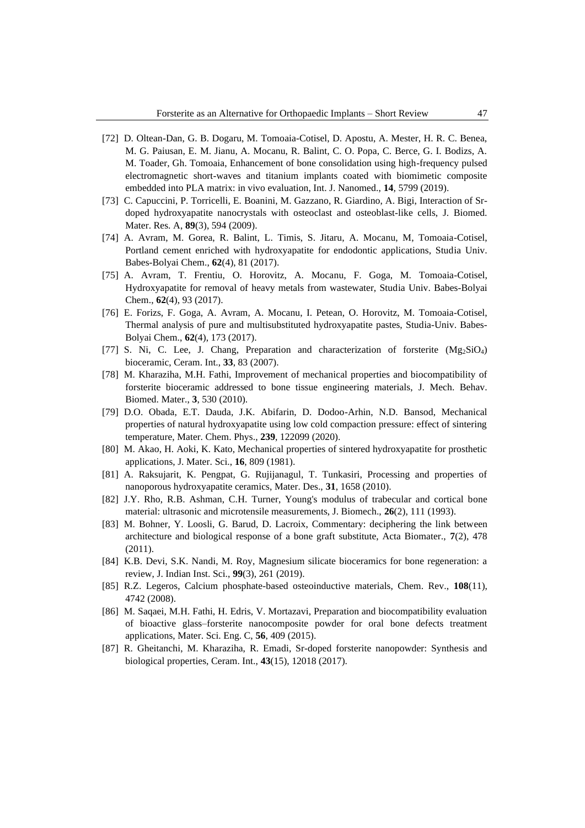- [72] D. Oltean-Dan, G. B. Dogaru, M. Tomoaia-Cotisel, D. Apostu, A. Mester, H. R. C. Benea, M. G. Paiusan, E. M. Jianu, A. Mocanu, R. Balint, C. O. Popa, C. Berce, G. I. Bodizs, A. M. Toader, Gh. Tomoaia, Enhancement of bone consolidation using high-frequency pulsed electromagnetic short-waves and titanium implants coated with biomimetic composite embedded into PLA matrix: in vivo evaluation, Int. J. Nanomed., **14**, 5799 (2019).
- [73] C. Capuccini, P. Torricelli, E. Boanini, M. Gazzano, R. Giardino, A. Bigi, Interaction of Srdoped hydroxyapatite nanocrystals with osteoclast and osteoblast-like cells, J. Biomed. Mater. Res. A, **89**(3), 594 (2009).
- [74] A. Avram, M. Gorea, R. Balint, L. Timis, S. Jitaru, A. Mocanu, M, Tomoaia-Cotisel, Portland cement enriched with hydroxyapatite for endodontic applications, Studia Univ. Babes-Bolyai Chem., **62**(4), 81 (2017).
- [75] A. Avram, T. Frentiu, O. Horovitz, A. Mocanu, F. Goga, M. Tomoaia-Cotisel, Hydroxyapatite for removal of heavy metals from wastewater, Studia Univ. Babes-Bolyai Chem., **62**(4), 93 (2017).
- [76] E. Forizs, F. Goga, A. Avram, A. Mocanu, I. Petean, O. Horovitz, M. Tomoaia-Cotisel, Thermal analysis of pure and multisubstituted hydroxyapatite pastes, Studia-Univ. Babes-Bolyai Chem., **62**(4), 173 (2017).
- [77] S. Ni, C. Lee, J. Chang, Preparation and characterization of forsterite (Mg2SiO4) bioceramic, Ceram. Int., **33**, 83 (2007).
- [78] M. Kharaziha, M.H. Fathi, Improvement of mechanical properties and biocompatibility of forsterite bioceramic addressed to bone tissue engineering materials, J. Mech. Behav. Biomed. Mater., **3**, 530 (2010).
- [79] D.O. Obada, E.T. Dauda, J.K. Abifarin, D. Dodoo-Arhin, N.D. Bansod, Mechanical properties of natural hydroxyapatite using low cold compaction pressure: effect of sintering temperature, Mater. Chem. Phys., **239**, 122099 (2020).
- [80] M. Akao, H. Aoki, K. Kato, Mechanical properties of sintered hydroxyapatite for prosthetic applications, J. Mater. Sci., **16**, 809 (1981).
- [81] A. Raksujarit, K. Pengpat, G. Rujijanagul, T. Tunkasiri, Processing and properties of nanoporous hydroxyapatite ceramics, Mater. Des., **31**, 1658 (2010).
- [82] J.Y. Rho, R.B. Ashman, C.H. Turner, Young's modulus of trabecular and cortical bone material: ultrasonic and microtensile measurements, J. Biomech., **26**(2), 111 (1993).
- [83] M. Bohner, Y. Loosli, G. Barud, D. Lacroix, Commentary: deciphering the link between architecture and biological response of a bone graft substitute, Acta Biomater., **7**(2), 478 (2011).
- [84] K.B. Devi, S.K. Nandi, M. Roy, Magnesium silicate bioceramics for bone regeneration: a review, J. Indian Inst. Sci., **99**(3), 261 (2019).
- [85] R.Z. Legeros, Calcium phosphate-based osteoinductive materials, Chem. Rev., **108**(11), 4742 (2008).
- [86] M. Saqaei, M.H. Fathi, H. Edris, V. Mortazavi, Preparation and biocompatibility evaluation of bioactive glass–forsterite nanocomposite powder for oral bone defects treatment applications, Mater. Sci. Eng. C, **56**, 409 (2015).
- [87] R. Gheitanchi, M. Kharaziha, R. Emadi, Sr-doped forsterite nanopowder: Synthesis and biological properties, Ceram. Int., **43**(15), 12018 (2017).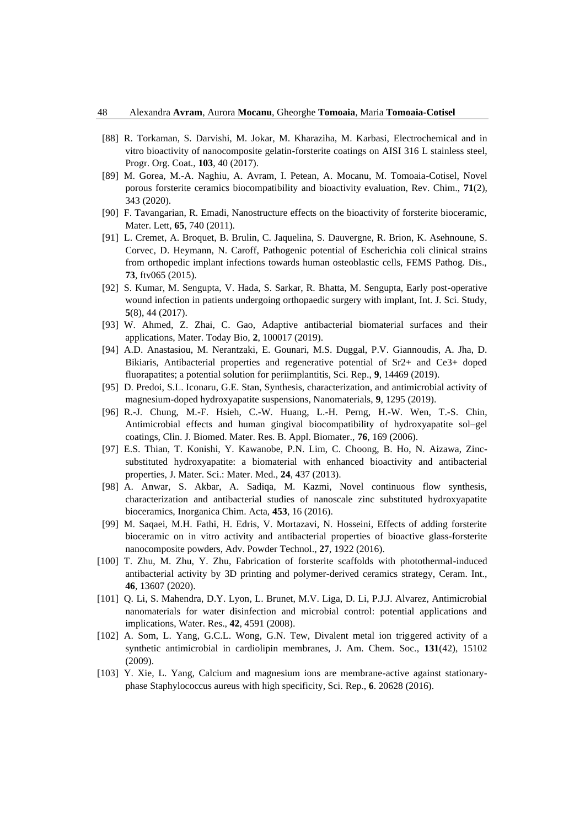- [88] R. Torkaman, S. Darvishi, M. Jokar, M. Kharaziha, M. Karbasi, Electrochemical and in vitro bioactivity of nanocomposite gelatin-forsterite coatings on AISI 316 L stainless steel, Progr. Org. Coat., **103**, 40 (2017).
- [89] M. Gorea, M.-A. Naghiu, A. Avram, I. Petean, A. Mocanu, M. Tomoaia-Cotisel, Novel porous forsterite ceramics biocompatibility and bioactivity evaluation, Rev. Chim., **71**(2), 343 (2020).
- [90] F. Tavangarian, R. Emadi, Nanostructure effects on the bioactivity of forsterite bioceramic, Mater. Lett, **65**, 740 (2011).
- [91] L. Cremet, A. Broquet, B. Brulin, C. Jaquelina, S. Dauvergne, R. Brion, K. Asehnoune, S. Corvec, D. Heymann, N. Caroff, Pathogenic potential of Escherichia coli clinical strains from orthopedic implant infections towards human osteoblastic cells, FEMS Pathog. Dis., **73**, ftv065 (2015).
- [92] S. Kumar, M. Sengupta, V. Hada, S. Sarkar, R. Bhatta, M. Sengupta, Early post-operative wound infection in patients undergoing orthopaedic surgery with implant, Int. J. Sci. Study, **5**(8), 44 (2017).
- [93] W. Ahmed, Z. Zhai, C. Gao, Adaptive antibacterial biomaterial surfaces and their applications, Mater. Today Bio, **2**, 100017 (2019).
- [94] A.D. Anastasiou, M. Nerantzaki, E. Gounari, M.S. Duggal, P.V. Giannoudis, A. Jha, D. Bikiaris, Antibacterial properties and regenerative potential of Sr2+ and Ce3+ doped fluorapatites; a potential solution for periimplantitis, Sci. Rep., **9**, 14469 (2019).
- [95] D. Predoi, S.L. Iconaru, G.E. Stan, Synthesis, characterization, and antimicrobial activity of magnesium-doped hydroxyapatite suspensions, Nanomaterials, **9**, 1295 (2019).
- [96] R.-J. Chung, M.-F. Hsieh, C.-W. Huang, L.-H. Perng, H.-W. Wen, T.-S. Chin, Antimicrobial effects and human gingival biocompatibility of hydroxyapatite sol–gel coatings, Clin. J. Biomed. Mater. Res. B. Appl. Biomater., **76**, 169 (2006).
- [97] E.S. Thian, T. Konishi, Y. Kawanobe, P.N. Lim, C. Choong, B. Ho, N. Aizawa, Zincsubstituted hydroxyapatite: a biomaterial with enhanced bioactivity and antibacterial properties, J. Mater. Sci.: Mater. Med., **24**, 437 (2013).
- [98] A. Anwar, S. Akbar, A. Sadiqa, M. Kazmi, Novel continuous flow synthesis, characterization and antibacterial studies of nanoscale zinc substituted hydroxyapatite bioceramics, Inorganica Chim. Acta, **453**, 16 (2016).
- [99] M. Saqaei, M.H. Fathi, H. Edris, V. Mortazavi, N. Hosseini, Effects of adding forsterite bioceramic on in vitro activity and antibacterial properties of bioactive glass-forsterite nanocomposite powders, Adv. Powder Technol., **27**, 1922 (2016).
- [100] T. Zhu, M. Zhu, Y. Zhu, Fabrication of forsterite scaffolds with photothermal-induced antibacterial activity by 3D printing and polymer-derived ceramics strategy, Ceram. Int., **46**, 13607 (2020).
- [101] Q. Li, S. Mahendra, D.Y. Lyon, L. Brunet, M.V. Liga, D. Li, P.J.J. Alvarez, Antimicrobial nanomaterials for water disinfection and microbial control: potential applications and implications, Water. Res., **42**, 4591 (2008).
- [102] A. Som, L. Yang, G.C.L. Wong, G.N. Tew, Divalent metal ion triggered activity of a synthetic antimicrobial in cardiolipin membranes, J. Am. Chem. Soc., **131**(42), 15102 (2009).
- [103] Y. Xie, L. Yang, Calcium and magnesium ions are membrane-active against stationaryphase Staphylococcus aureus with high specificity, Sci. Rep., **6**. 20628 (2016).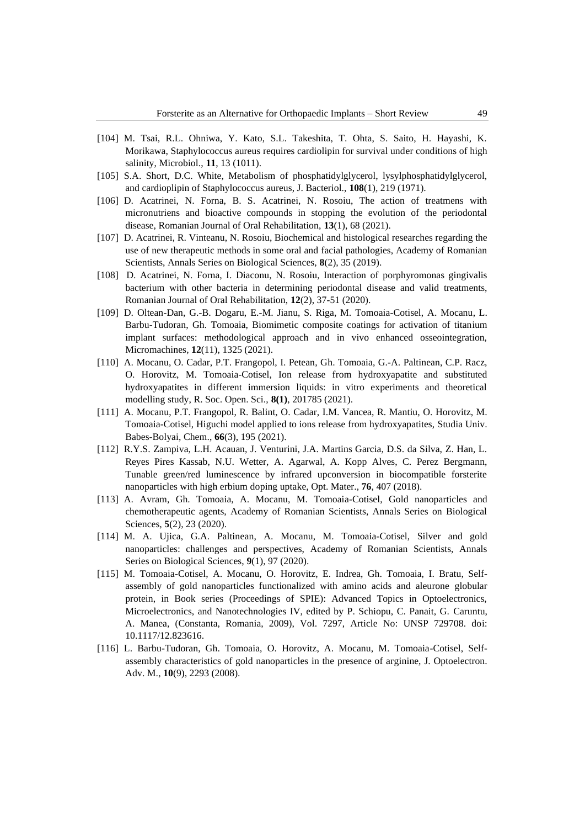- [104] M. Tsai, R.L. Ohniwa, Y. Kato, S.L. Takeshita, T. Ohta, S. Saito, H. Hayashi, K. Morikawa, Staphylococcus aureus requires cardiolipin for survival under conditions of high salinity, Microbiol., **11**, 13 (1011).
- [105] S.A. Short, D.C. White, Metabolism of phosphatidylglycerol, lysylphosphatidylglycerol, and cardioplipin of Staphylococcus aureus, J. Bacteriol., **108**(1), 219 (1971).
- [106] D. Acatrinei, N. Forna, B. S. Acatrinei, N. Rosoiu, The action of treatmens with micronutriens and bioactive compounds in stopping the evolution of the periodontal disease, Romanian Journal of Oral Rehabilitation, **13**(1), 68 (2021).
- [107] D. Acatrinei, R. Vinteanu, N. Rosoiu, Biochemical and histological researches regarding the use of new therapeutic methods in some oral and facial pathologies, Academy of Romanian Scientists, Annals Series on Biological Sciences, **8**(2), 35 (2019).
- [108] D. Acatrinei, N. Forna, I. Diaconu, N. Rosoiu, Interaction of porphyromonas gingivalis bacterium with other bacteria in determining periodontal disease and valid treatments, Romanian Journal of Oral Rehabilitation, **12**(2), 37-51 (2020).
- [109] D. Oltean-Dan, G.-B. Dogaru, E.-M. Jianu, S. Riga, M. Tomoaia-Cotisel, A. Mocanu, L. Barbu-Tudoran, Gh. Tomoaia, Biomimetic composite coatings for activation of titanium implant surfaces: methodological approach and in vivo enhanced osseointegration, Micromachines*,* **12**(11), 1325 (2021).
- [110] A. Mocanu, O. Cadar, P.T. Frangopol, I. Petean, Gh. Tomoaia, G.-A. Paltinean, C.P. Racz, O. Horovitz, M. Tomoaia-Cotisel, Ion release from hydroxyapatite and substituted hydroxyapatites in different immersion liquids: in vitro experiments and theoretical modelling study, R. Soc. Open. Sci., **8(1)**, 201785 (2021).
- [111] A. Mocanu, P.T. Frangopol, R. Balint, O. Cadar, I.M. Vancea, R. Mantiu, O. Horovitz, M. Tomoaia-Cotisel, Higuchi model applied to ions release from hydroxyapatites, Studia Univ. Babes-Bolyai, Chem., **66**(3), 195 (2021).
- [112] R.Y.S. Zampiva, L.H. Acauan, J. Venturini, J.A. Martins Garcia, D.S. da Silva, Z. Han, L. Reyes Pires Kassab, N.U. Wetter, A. Agarwal, A. Kopp Alves, C. Perez Bergmann, Tunable green/red luminescence by infrared upconversion in biocompatible forsterite nanoparticles with high erbium doping uptake, Opt. Mater., **76**, 407 (2018).
- [113] A. Avram, Gh. Tomoaia, A. Mocanu, M. Tomoaia-Cotisel, Gold nanoparticles and chemotherapeutic agents, Academy of Romanian Scientists, Annals Series on Biological Sciences, **5**(2), 23 (2020).
- [114] M. A. Ujica, G.A. Paltinean, A. Mocanu, M. Tomoaia-Cotisel, Silver and gold nanoparticles: challenges and perspectives, Academy of Romanian Scientists, Annals Series on Biological Sciences, **9**(1), 97 (2020).
- [115] M. Tomoaia-Cotisel, A. Mocanu, O. Horovitz, E. Indrea, Gh. Tomoaia, I. Bratu, Selfassembly of gold nanoparticles functionalized with amino acids and aleurone globular protein, in Book series (Proceedings of SPIE): Advanced Topics in Optoelectronics, Microelectronics, and Nanotechnologies IV, edited by P. Schiopu, C. Panait, G. Caruntu, A. Manea, (Constanta, Romania, 2009), Vol. 7297, Article No: UNSP 729708. doi: 10.1117/12.823616.
- [116] L. Barbu-Tudoran, Gh. Tomoaia, O. Horovitz, A. Mocanu, M. Tomoaia-Cotisel, Selfassembly characteristics of gold nanoparticles in the presence of arginine, J. Optoelectron. Adv. M., **10**(9), 2293 (2008).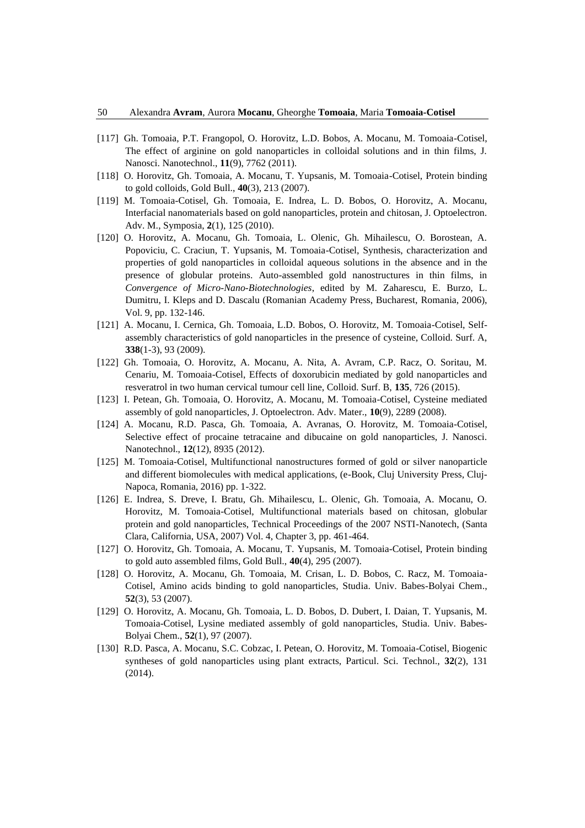- [117] Gh. Tomoaia, P.T. Frangopol, O. Horovitz, L.D. Bobos, A. Mocanu, M. Tomoaia-Cotisel, The effect of arginine on gold nanoparticles in colloidal solutions and in thin films, J. Nanosci. Nanotechnol., **11**(9), 7762 (2011).
- [118] O. Horovitz, Gh. Tomoaia, A. Mocanu, T. Yupsanis, M. Tomoaia-Cotisel, Protein binding to gold colloids, Gold Bull., **40**(3), 213 (2007).
- [119] M. Tomoaia-Cotisel, Gh. Tomoaia, E. Indrea, L. D. Bobos, O. Horovitz, A. Mocanu, Interfacial nanomaterials based on gold nanoparticles, protein and chitosan, J. Optoelectron. Adv. M., Symposia, **2**(1), 125 (2010).
- [120] O. Horovitz, A. Mocanu, Gh. Tomoaia, L. Olenic, Gh. Mihailescu, O. Borostean, A. Popoviciu, C. Craciun, T. Yupsanis, M. Tomoaia-Cotisel, Synthesis, characterization and properties of gold nanoparticles in colloidal aqueous solutions in the absence and in the presence of globular proteins. Auto-assembled gold nanostructures in thin films, in *Convergence of Micro-Nano-Biotechnologies*, edited by M. Zaharescu, E. Burzo, L. Dumitru, I. Kleps and D. Dascalu (Romanian Academy Press, Bucharest, Romania, 2006), Vol. 9, pp. 132-146.
- [121] A. Mocanu, I. Cernica, Gh. Tomoaia, L.D. Bobos, O. Horovitz, M. Tomoaia-Cotisel, Selfassembly characteristics of gold nanoparticles in the presence of cysteine, Colloid. Surf. A, **338**(1-3), 93 (2009).
- [122] Gh. Tomoaia, O. Horovitz, A. Mocanu, A. Nita, A. Avram, C.P. Racz, O. Soritau, M. Cenariu, M. Tomoaia-Cotisel, Effects of doxorubicin mediated by gold nanoparticles and resveratrol in two human cervical tumour cell line, Colloid. Surf. B, **135**, 726 (2015).
- [123] I. Petean, Gh. Tomoaia, O. Horovitz, A. Mocanu, M. Tomoaia-Cotisel, Cysteine mediated assembly of gold nanoparticles, J. Optoelectron. Adv. Mater., **10**(9), 2289 (2008).
- [124] A. Mocanu, R.D. Pasca, Gh. Tomoaia, A. Avranas, O. Horovitz, M. Tomoaia-Cotisel, Selective effect of procaine tetracaine and dibucaine on gold nanoparticles, J. Nanosci. Nanotechnol., **12**(12), 8935 (2012).
- [125] M. Tomoaia-Cotisel, Multifunctional nanostructures formed of gold or silver nanoparticle and different biomolecules with medical applications, (e-Book, Cluj University Press, Cluj-Napoca, Romania, 2016) pp. 1-322.
- [126] E. Indrea, S. Dreve, I. Bratu, Gh. Mihailescu, L. Olenic, Gh. Tomoaia, A. Mocanu, O. Horovitz, M. Tomoaia-Cotisel, Multifunctional materials based on chitosan, globular protein and gold nanoparticles, Technical Proceedings of the 2007 NSTI-Nanotech, (Santa Clara, California, USA, 2007) Vol. 4, Chapter 3, pp. 461-464.
- [127] O. Horovitz, Gh. Tomoaia, A. Mocanu, T. Yupsanis, M. Tomoaia-Cotisel, Protein binding to gold auto assembled films, Gold Bull., **40**(4), 295 (2007).
- [128] O. Horovitz, A. Mocanu, Gh. Tomoaia, M. Crisan, L. D. Bobos, C. Racz, M. Tomoaia-Cotisel, Amino acids binding to gold nanoparticles, Studia. Univ. Babes-Bolyai Chem., **52**(3), 53 (2007).
- [129] O. Horovitz, A. Mocanu, Gh. Tomoaia, L. D. Bobos, D. Dubert, I. Daian, T. Yupsanis, M. Tomoaia-Cotisel, Lysine mediated assembly of gold nanoparticles, Studia. Univ. Babes-Bolyai Chem., **52**(1), 97 (2007).
- [130] R.D. Pasca, A. Mocanu, S.C. Cobzac, I. Petean, O. Horovitz, M. Tomoaia-Cotisel, Biogenic syntheses of gold nanoparticles using plant extracts, Particul. Sci. Technol., **32**(2), 131 (2014).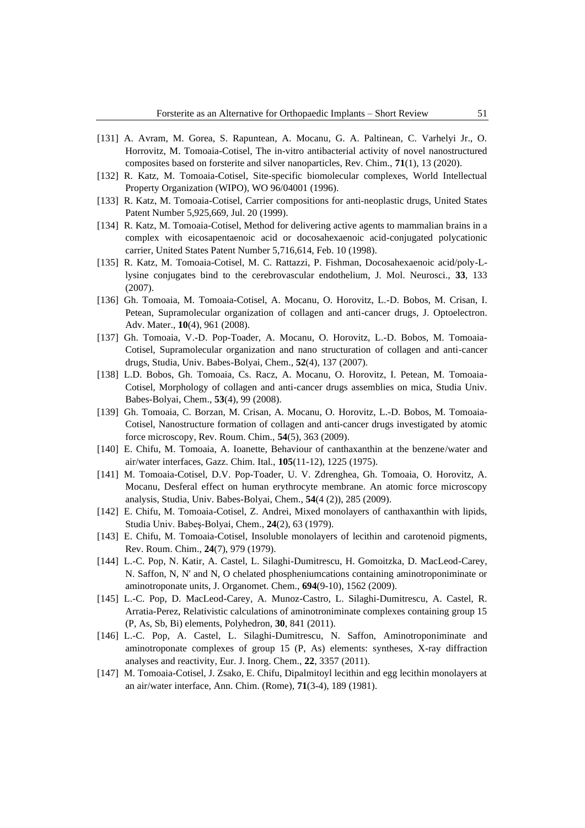- [131] A. Avram, M. Gorea, S. Rapuntean, A. Mocanu, G. A. Paltinean, C. Varhelyi Jr., O. Horrovitz, M. Tomoaia-Cotisel, The in-vitro antibacterial activity of novel nanostructured composites based on forsterite and silver nanoparticles, Rev. Chim., **71**(1), 13 (2020).
- [132] R. Katz, M. Tomoaia-Cotisel, Site-specific biomolecular complexes, World Intellectual Property Organization (WIPO), WO 96/04001 (1996).
- [133] R. Katz, M. Tomoaia-Cotisel, Carrier compositions for anti-neoplastic drugs, United States Patent Number 5,925,669, Jul. 20 (1999).
- [134] R. Katz, M. Tomoaia-Cotisel, Method for delivering active agents to mammalian brains in a complex with eicosapentaenoic acid or docosahexaenoic acid-conjugated polycationic carrier, United States Patent Number 5,716,614, Feb. 10 (1998).
- [135] R. Katz, M. Tomoaia-Cotisel, M. C. Rattazzi, P. Fishman, Docosahexaenoic acid/poly-Llysine conjugates bind to the cerebrovascular endothelium, J. Mol. Neurosci., **33**, 133 (2007).
- [136] Gh. Tomoaia, M. Tomoaia-Cotisel, A. Mocanu, O. Horovitz, L.-D. Bobos, M. Crisan, I. Petean, Supramolecular organization of collagen and anti-cancer drugs, J. Optoelectron. Adv. Mater., **10**(4), 961 (2008).
- [137] Gh. Tomoaia, V.-D. Pop-Toader, A. Mocanu, O. Horovitz, L.-D. Bobos, M. Tomoaia-Cotisel, Supramolecular organization and nano structuration of collagen and anti-cancer drugs, Studia, Univ. Babes-Bolyai, Chem., **52**(4), 137 (2007).
- [138] L.D. Bobos, Gh. Tomoaia, Cs. Racz, A. Mocanu, O. Horovitz, I. Petean, M. Tomoaia-Cotisel, Morphology of collagen and anti-cancer drugs assemblies on mica, Studia Univ. Babes-Bolyai, Chem., **53**(4), 99 (2008).
- [139] Gh. Tomoaia, C. Borzan, M. Crisan, A. Mocanu, O. Horovitz, L.-D. Bobos, M. Tomoaia-Cotisel, Nanostructure formation of collagen and anti-cancer drugs investigated by atomic force microscopy, Rev. Roum. Chim., **54**(5), 363 (2009).
- [140] E. Chifu, M. Tomoaia, A. Ioanette, Behaviour of canthaxanthin at the benzene/water and air/water interfaces, Gazz. Chim. Ital., **105**(11-12), 1225 (1975).
- [141] M. Tomoaia-Cotisel, D.V. Pop-Toader, U. V. Zdrenghea, Gh. Tomoaia, O. Horovitz, A. Mocanu, Desferal effect on human erythrocyte membrane. An atomic force microscopy analysis, Studia, Univ. Babes-Bolyai, Chem., **54**(4 (2)), 285 (2009).
- [142] E. Chifu, M. Tomoaia-Cotisel, Z. Andrei, Mixed monolayers of canthaxanthin with lipids, Studia Univ. Babeş-Bolyai, Chem., **24**(2), 63 (1979).
- [143] E. Chifu, M. Tomoaia-Cotisel, Insoluble monolayers of lecithin and carotenoid pigments, Rev. Roum. Chim., **24**(7), 979 (1979).
- [144] L.-C. Pop, N. Katir, A. Castel, L. Silaghi-Dumitrescu, H. Gomoitzka, D. MacLeod-Carey, N. Saffon, N, N' and N, O chelated phospheniumcations containing aminotroponiminate or aminotroponate units, J. Organomet. Chem., **694**(9-10), 1562 (2009).
- [145] L.-C. Pop, D. MacLeod-Carey, A. Munoz-Castro, L. Silaghi-Dumitrescu, A. Castel, R. Arratia-Perez, Relativistic calculations of aminotroniminate complexes containing group 15 (P, As, Sb, Bi) elements, Polyhedron, **30**, 841 (2011).
- [146] L.-C. Pop, A. Castel, L. Silaghi-Dumitrescu, N. Saffon, Aminotroponiminate and aminotroponate complexes of group 15 (P, As) elements: syntheses, X-ray diffraction analyses and reactivity, Eur. J. Inorg. Chem., **22**, 3357 (2011).
- [147] M. Tomoaia-Cotisel, J. Zsako, E. Chifu, Dipalmitoyl lecithin and egg lecithin monolayers at an air/water interface, Ann. Chim. (Rome), **71**(3-4), 189 (1981).